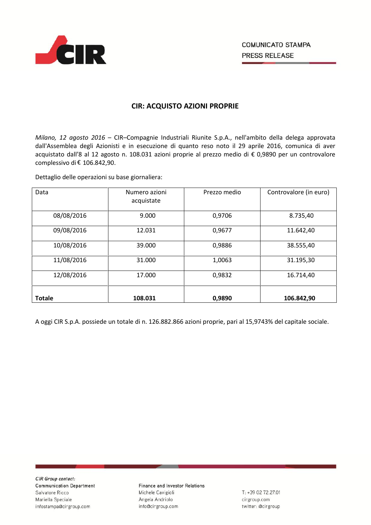

## **CIR: ACQUISTO AZIONI PROPRIE**

*Milano, 12 agosto 2016* – CIR–Compagnie Industriali Riunite S.p.A., nell'ambito della delega approvata dall'Assemblea degli Azionisti e in esecuzione di quanto reso noto il 29 aprile 2016, comunica di aver acquistato dall'8 al 12 agosto n. 108.031 azioni proprie al prezzo medio di € 0,9890 per un controvalore complessivo di € 106.842,90.

Dettaglio delle operazioni su base giornaliera:

| Data          | Numero azioni<br>acquistate | Prezzo medio | Controvalore (in euro) |
|---------------|-----------------------------|--------------|------------------------|
| 08/08/2016    | 9.000                       | 0,9706       | 8.735,40               |
| 09/08/2016    | 12.031                      | 0,9677       | 11.642,40              |
| 10/08/2016    | 39.000                      | 0,9886       | 38.555,40              |
| 11/08/2016    | 31.000                      | 1,0063       | 31.195,30              |
| 12/08/2016    | 17.000                      | 0,9832       | 16.714,40              |
| <b>Totale</b> | 108.031                     | 0,9890       | 106.842,90             |

A oggi CIR S.p.A. possiede un totale di n. 126.882.866 azioni proprie, pari al 15,9743% del capitale sociale.

CIR Group contact: **Communication Department** Salvatore Ricco Mariella Speciale infostampa@cirgroup.com

**Finance and Investor Relations** Michele Cavigioli Angela Andriolo info@cirgroup.com

T: +39 02 72.27.01 cirgroup.com twitter: @cirgroup